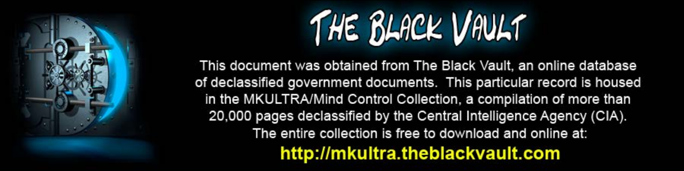

This document was obtained from The Black Vault, an online database of declassified government documents. This particular record is housed in the MKULTRA/Mind Control Collection, a compilation of more than 20,000 pages declassified by the Central Intelligence Agency (CIA). The entire collection is free to download and online at: http://mkultra.theblackvault.com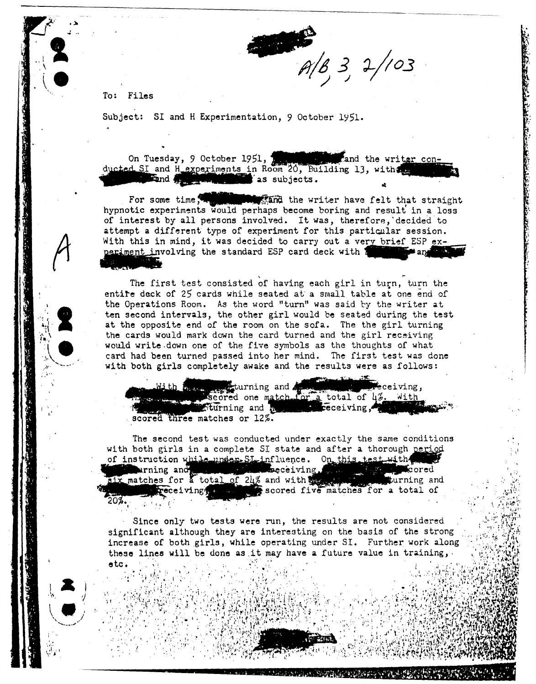

To: Files

..

**,.)o**  ....

 $\cdot$  .

I, '

! & <sup>I</sup>  $\cdot$   $\cdot$  J  $\left(\begin{array}{c} \bullet \end{array}\right)$ 

i ..

Subject: SI and H Experimentation, 9 October 1951.

On Tuesday, 9 October 1951, ..\_.,.and the wri~ s determined in Room 20, Building 13, with a settled the writer con-<br>SI and H experiments in Room 20, Building 13, with a settled the settled of the settled the settled the settled of

For some time,  $\blacksquare$  the writer have felt that straight hypnotic experiments would perhaps become boring and result in a loss of interest by all persons involved. It was, therefore, decided to attempt a different type of experiment for this particular session. With this in mind, it was decided to carry out a very brief ESP experiment involving the standard ESP card deck with 1

The first test consisted of having each girl in turn, turn the entife deck of 25 cards while seated at a small table at one end of the Operations Room. As the word "turn" was said by the writer at ten second intervals, the other girl would be seated during the test at the opposite end of the room on the sofa. The the girl turning the cards would mark down the card turned and the girl receiving would write.down one of the five symbols as the thoughts of what card had been turned passed into her mind. The first test was done with both girls completely awake and the results were as follows:

. ceiving, turning and scored one match for a total of  $\mu_{\ell}$ . With<br>turning and  $\mu_{\ell}$  ... ... receiving, Fiturning and m scored three matches or 12%.

> $\cdot$  . ! ~

The second test was conducted under exactly the same conditions with both girls in a complete SI state and after a thorough period of instruction while under SL-influence. On this test with arning and with meceiving. kcored turning and scored five matches for a total of  $20%$ I'. . . . <sup>4</sup>

Since only two tests were run, the results are not considered significant although they are interesting on the basis of the strong increase of both girls, while operating under SI. Further work along these lines will be done as it may have a future value in training, etc.

**------------------.... .aB.** l. • • .: • .' •. ~ ..• : ": • ; ' •